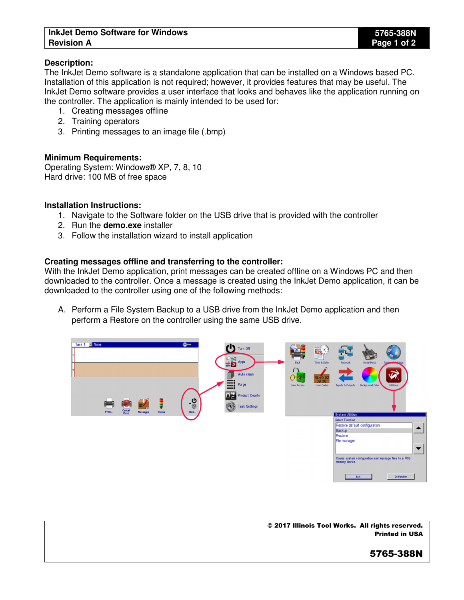### **InkJet Demo Software for Windows 5765-388N Revision A Page 1 of 2**

## **Description:**

The InkJet Demo software is a standalone application that can be installed on a Windows based PC. Installation of this application is not required; however, it provides features that may be useful. The InkJet Demo software provides a user interface that looks and behaves like the application running on the controller. The application is mainly intended to be used for:

- 1. Creating messages offline
- 2. Training operators
- 3. Printing messages to an image file (.bmp)

### **Minimum Requirements:**

Operating System: Windows® XP, 7, 8, 10 Hard drive: 100 MB of free space

#### **Installation Instructions:**

- 1. Navigate to the Software folder on the USB drive that is provided with the controller
- 2. Run the **demo.exe** installer
- 3. Follow the installation wizard to install application

### **Creating messages offline and transferring to the controller:**

With the InkJet Demo application, print messages can be created offline on a Windows PC and then downloaded to the controller. Once a message is created using the InkJet Demo application, it can be downloaded to the controller using one of the following methods:

A. Perform a File System Backup to a USB drive from the InkJet Demo application and then perform a Restore on the controller using the same USB drive.



© 2017 Illinois Tool Works. All rights reserved. Printed in USA

# 5765-388N